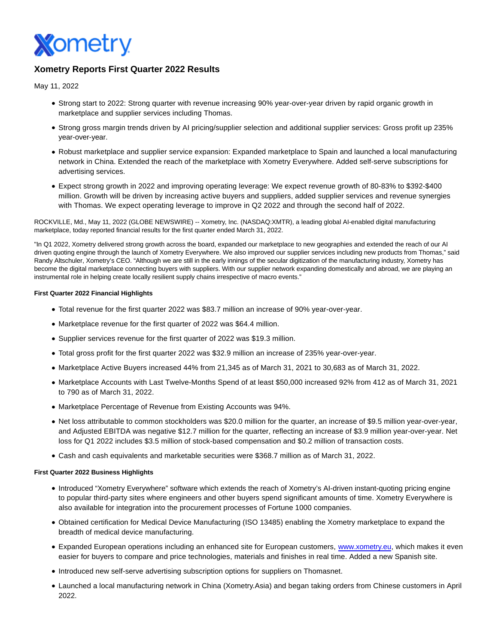

# **Xometry Reports First Quarter 2022 Results**

May 11, 2022

- Strong start to 2022: Strong quarter with revenue increasing 90% year-over-year driven by rapid organic growth in marketplace and supplier services including Thomas.
- Strong gross margin trends driven by AI pricing/supplier selection and additional supplier services: Gross profit up 235% year-over-year.
- Robust marketplace and supplier service expansion: Expanded marketplace to Spain and launched a local manufacturing network in China. Extended the reach of the marketplace with Xometry Everywhere. Added self-serve subscriptions for advertising services.
- Expect strong growth in 2022 and improving operating leverage: We expect revenue growth of 80-83% to \$392-\$400 million. Growth will be driven by increasing active buyers and suppliers, added supplier services and revenue synergies with Thomas. We expect operating leverage to improve in Q2 2022 and through the second half of 2022.

ROCKVILLE, Md., May 11, 2022 (GLOBE NEWSWIRE) -- Xometry, Inc. (NASDAQ:XMTR), a leading global AI-enabled digital manufacturing marketplace, today reported financial results for the first quarter ended March 31, 2022.

"In Q1 2022, Xometry delivered strong growth across the board, expanded our marketplace to new geographies and extended the reach of our AI driven quoting engine through the launch of Xometry Everywhere. We also improved our supplier services including new products from Thomas," said Randy Altschuler, Xometry's CEO. "Although we are still in the early innings of the secular digitization of the manufacturing industry, Xometry has become the digital marketplace connecting buyers with suppliers. With our supplier network expanding domestically and abroad, we are playing an instrumental role in helping create locally resilient supply chains irrespective of macro events."

### **First Quarter 2022 Financial Highlights**

- Total revenue for the first quarter 2022 was \$83.7 million an increase of 90% year-over-year.
- Marketplace revenue for the first quarter of 2022 was \$64.4 million.
- Supplier services revenue for the first quarter of 2022 was \$19.3 million.
- Total gross profit for the first quarter 2022 was \$32.9 million an increase of 235% year-over-year.
- Marketplace Active Buyers increased 44% from 21,345 as of March 31, 2021 to 30,683 as of March 31, 2022.
- Marketplace Accounts with Last Twelve-Months Spend of at least \$50,000 increased 92% from 412 as of March 31, 2021 to 790 as of March 31, 2022.
- Marketplace Percentage of Revenue from Existing Accounts was 94%.
- Net loss attributable to common stockholders was \$20.0 million for the quarter, an increase of \$9.5 million year-over-year, and Adjusted EBITDA was negative \$12.7 million for the quarter, reflecting an increase of \$3.9 million year-over-year. Net loss for Q1 2022 includes \$3.5 million of stock-based compensation and \$0.2 million of transaction costs.
- Cash and cash equivalents and marketable securities were \$368.7 million as of March 31, 2022.

### **First Quarter 2022 Business Highlights**

- Introduced "Xometry Everywhere" software which extends the reach of Xometry's AI-driven instant-quoting pricing engine to popular third-party sites where engineers and other buyers spend significant amounts of time. Xometry Everywhere is also available for integration into the procurement processes of Fortune 1000 companies.
- Obtained certification for Medical Device Manufacturing (ISO 13485) enabling the Xometry marketplace to expand the breadth of medical device manufacturing.
- Expanded European operations including an enhanced site for European customers, [www.xometry.eu,](http://www.xometry.eu/) which makes it even easier for buyers to compare and price technologies, materials and finishes in real time. Added a new Spanish site.
- Introduced new self-serve advertising subscription options for suppliers on Thomasnet.
- Launched a local manufacturing network in China (Xometry.Asia) and began taking orders from Chinese customers in April 2022.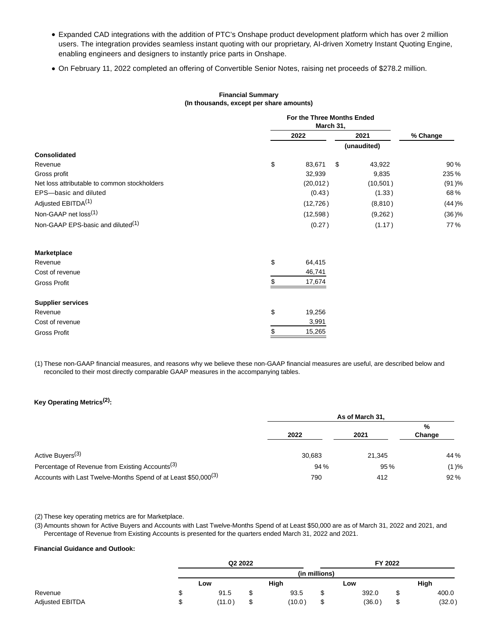- Expanded CAD integrations with the addition of PTC's Onshape product development platform which has over 2 million users. The integration provides seamless instant quoting with our proprietary, AI-driven Xometry Instant Quoting Engine, enabling engineers and designers to instantly price parts in Onshape.
- On February 11, 2022 completed an offering of Convertible Senior Notes, raising net proceeds of \$278.2 million.

## **Financial Summary (In thousands, except per share amounts)**

|                                               | For the Three Months Ended<br>March 31, |                                 |              |          |  |
|-----------------------------------------------|-----------------------------------------|---------------------------------|--------------|----------|--|
|                                               |                                         | 2022                            |              | % Change |  |
|                                               |                                         |                                 | (unaudited)  |          |  |
| <b>Consolidated</b>                           |                                         |                                 |              |          |  |
| Revenue                                       | \$                                      | 83,671                          | \$<br>43,922 | 90%      |  |
| Gross profit                                  |                                         | 32,939                          | 9,835        | 235%     |  |
| Net loss attributable to common stockholders  |                                         | (20,012)<br>(0.43)<br>(12, 726) | (10, 501)    | (91)%    |  |
| EPS-basic and diluted                         |                                         |                                 | (1.33)       | 68%      |  |
| Adjusted EBITDA <sup>(1)</sup>                |                                         |                                 | (8,810)      | (44)%    |  |
| Non-GAAP net loss <sup>(1)</sup>              |                                         | (12, 598)                       | (9,262)      | (36)%    |  |
| Non-GAAP EPS-basic and diluted <sup>(1)</sup> |                                         | (0.27)                          | (1.17)       | 77%      |  |
| Marketplace                                   |                                         |                                 |              |          |  |
| Revenue                                       | \$                                      | 64,415                          |              |          |  |
| Cost of revenue                               |                                         | 46,741                          |              |          |  |
| <b>Gross Profit</b>                           | S                                       | 17,674                          |              |          |  |
| <b>Supplier services</b>                      |                                         |                                 |              |          |  |
| Revenue                                       | \$                                      | 19,256                          |              |          |  |
| Cost of revenue                               |                                         | 3,991                           |              |          |  |
| <b>Gross Profit</b>                           | \$                                      | 15,265                          |              |          |  |

(1) These non-GAAP financial measures, and reasons why we believe these non-GAAP financial measures are useful, are described below and reconciled to their most directly comparable GAAP measures in the accompanying tables.

# **Key Operating Metrics(2):**

|                                                                            | As of March 31, |        |             |  |
|----------------------------------------------------------------------------|-----------------|--------|-------------|--|
|                                                                            | 2022            | 2021   | %<br>Change |  |
| Active Buyers <sup>(3)</sup>                                               | 30.683          | 21.345 | 44 %        |  |
| Percentage of Revenue from Existing Accounts <sup>(3)</sup>                | 94 %            | 95 %   | (1)%        |  |
| Accounts with Last Twelve-Months Spend of at Least \$50,000 <sup>(3)</sup> | 790             | 412    | 92%         |  |

#### (2) These key operating metrics are for Marketplace.

(3) Amounts shown for Active Buyers and Accounts with Last Twelve-Months Spend of at Least \$50,000 are as of March 31, 2022 and 2021, and Percentage of Revenue from Existing Accounts is presented for the quarters ended March 31, 2022 and 2021.

### **Financial Guidance and Outlook:**

|                 | Q2 2022 |              |               | FY 2022 |        |        |
|-----------------|---------|--------------|---------------|---------|--------|--------|
|                 |         |              | (in millions) |         |        |        |
|                 | Low     | High         |               | Low     |        | High   |
| Revenue         | 91.5    | \$<br>93.5   |               | 392.0   | ́<br>Ф | 400.0  |
| Adjusted EBITDA | (11.0)  | \$<br>(10.0) | ີ             | (36.0)  | ́<br>J | (32.0) |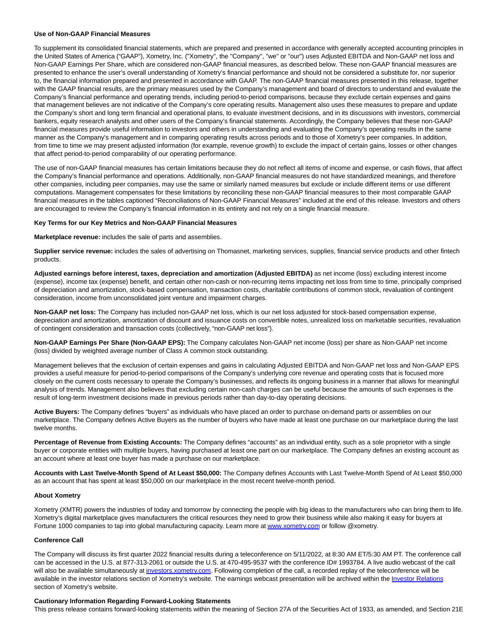#### **Use of Non-GAAP Financial Measures**

To supplement its consolidated financial statements, which are prepared and presented in accordance with generally accepted accounting principles in the United States of America ("GAAP"), Xometry, Inc. ("Xometry", the "Company", "we" or "our") uses Adjusted EBITDA and Non-GAAP net loss and Non-GAAP Earnings Per Share, which are considered non-GAAP financial measures, as described below. These non-GAAP financial measures are presented to enhance the user's overall understanding of Xometry's financial performance and should not be considered a substitute for, nor superior to, the financial information prepared and presented in accordance with GAAP. The non-GAAP financial measures presented in this release, together with the GAAP financial results, are the primary measures used by the Company's management and board of directors to understand and evaluate the Company's financial performance and operating trends, including period-to-period comparisons, because they exclude certain expenses and gains that management believes are not indicative of the Company's core operating results. Management also uses these measures to prepare and update the Company's short and long term financial and operational plans, to evaluate investment decisions, and in its discussions with investors, commercial bankers, equity research analysts and other users of the Company's financial statements. Accordingly, the Company believes that these non-GAAP financial measures provide useful information to investors and others in understanding and evaluating the Company's operating results in the same manner as the Company's management and in comparing operating results across periods and to those of Xometry's peer companies. In addition, from time to time we may present adjusted information (for example, revenue growth) to exclude the impact of certain gains, losses or other changes that affect period-to-period comparability of our operating performance.

The use of non-GAAP financial measures has certain limitations because they do not reflect all items of income and expense, or cash flows, that affect the Company's financial performance and operations. Additionally, non-GAAP financial measures do not have standardized meanings, and therefore other companies, including peer companies, may use the same or similarly named measures but exclude or include different items or use different computations. Management compensates for these limitations by reconciling these non-GAAP financial measures to their most comparable GAAP financial measures in the tables captioned "Reconciliations of Non-GAAP Financial Measures" included at the end of this release. Investors and others are encouraged to review the Company's financial information in its entirety and not rely on a single financial measure.

#### **Key Terms for our Key Metrics and Non-GAAP Financial Measures**

**Marketplace revenue:** includes the sale of parts and assemblies.

Supplier service revenue: includes the sales of advertising on Thomasnet, marketing services, supplies, financial service products and other fintech products.

**Adjusted earnings before interest, taxes, depreciation and amortization (Adjusted EBITDA)** as net income (loss) excluding interest income (expense), income tax (expense) benefit, and certain other non-cash or non-recurring items impacting net loss from time to time, principally comprised of depreciation and amortization, stock-based compensation, transaction costs, charitable contributions of common stock, revaluation of contingent consideration, income from unconsolidated joint venture and impairment charges.

**Non-GAAP net loss:** The Company has included non-GAAP net loss, which is our net loss adjusted for stock-based compensation expense, depreciation and amortization, amortization of discount and issuance costs on convertible notes, unrealized loss on marketable securities, revaluation of contingent consideration and transaction costs (collectively, "non-GAAP net loss").

**Non-GAAP Earnings Per Share (Non-GAAP EPS):** The Company calculates Non-GAAP net income (loss) per share as Non-GAAP net income (loss) divided by weighted average number of Class A common stock outstanding.

Management believes that the exclusion of certain expenses and gains in calculating Adjusted EBITDA and Non-GAAP net loss and Non-GAAP EPS provides a useful measure for period-to-period comparisons of the Company's underlying core revenue and operating costs that is focused more closely on the current costs necessary to operate the Company's businesses, and reflects its ongoing business in a manner that allows for meaningful analysis of trends. Management also believes that excluding certain non-cash charges can be useful because the amounts of such expenses is the result of long-term investment decisions made in previous periods rather than day-to-day operating decisions.

**Active Buyers:** The Company defines "buyers" as individuals who have placed an order to purchase on-demand parts or assemblies on our marketplace. The Company defines Active Buyers as the number of buyers who have made at least one purchase on our marketplace during the last twelve months.

**Percentage of Revenue from Existing Accounts:** The Company defines "accounts" as an individual entity, such as a sole proprietor with a single buyer or corporate entities with multiple buyers, having purchased at least one part on our marketplace. The Company defines an existing account as an account where at least one buyer has made a purchase on our marketplace.

**Accounts with Last Twelve-Month Spend of At Least \$50,000:** The Company defines Accounts with Last Twelve-Month Spend of At Least \$50,000 as an account that has spent at least \$50,000 on our marketplace in the most recent twelve-month period.

### **About Xometry**

Xometry (XMTR) powers the industries of today and tomorrow by connecting the people with big ideas to the manufacturers who can bring them to life. Xometry's digital marketplace gives manufacturers the critical resources they need to grow their business while also making it easy for buyers at Fortune 1000 companies to tap into global manufacturing capacity. Learn more a[t www.xometry.com o](https://www.globenewswire.com/Tracker?data=5Cj0G7-h--belmOutrR_Spr4imAjRC9nWpC-81hxIkT3kwbNL6HMN28W2OsY0UDdjZVDqMAJ_m5t9nJ5Im-5jg==)r follow @xometry.

### **Conference Call**

The Company will discuss its first quarter 2022 financial results during a teleconference on 5/11/2022, at 8:30 AM ET/5:30 AM PT. The conference call can be accessed in the U.S. at 877-313-2061 or outside the U.S. at 470-495-9537 with the conference ID# 1993784. A live audio webcast of the call will also be available simultaneously at [investors.xometry.com.](https://www.globenewswire.com/Tracker?data=J0cu8tD3xI0Z6n_Vy7E3AHlvFjuLpTe-UbYpsnPPboo8a9W5QlxFobYJNQQ3GTg5r1skd81L6SAjXq8bo1DR83M-x_CFwywa4XTCNwa8LKI=) Following completion of the call, a recorded replay of the teleconference will be available in the investor relations section of Xometry's website. The earnings webcast presentation will be archived within the *Investor Relations* section of Xometry's website.

#### **Cautionary Information Regarding Forward-Looking Statements**

This press release contains forward-looking statements within the meaning of Section 27A of the Securities Act of 1933, as amended, and Section 21E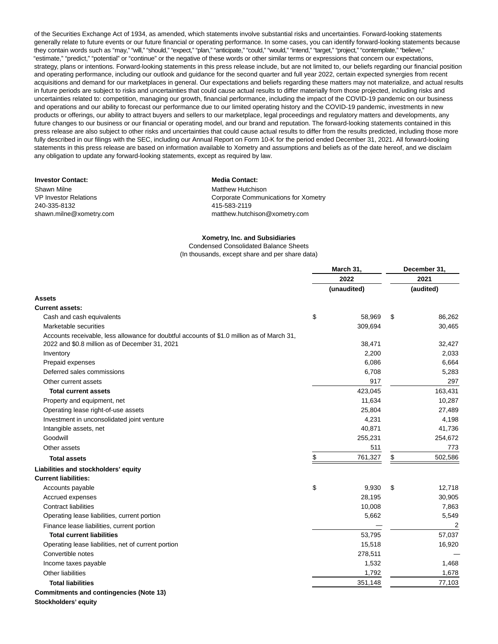of the Securities Exchange Act of 1934, as amended, which statements involve substantial risks and uncertainties. Forward-looking statements generally relate to future events or our future financial or operating performance. In some cases, you can identify forward-looking statements because they contain words such as "may," "will," "should," "expect," "plan," "anticipate," "could," "would," "intend," "target," "project," "contemplate," "believe," "estimate," "predict," "potential" or "continue" or the negative of these words or other similar terms or expressions that concern our expectations, strategy, plans or intentions. Forward-looking statements in this press release include, but are not limited to, our beliefs regarding our financial position and operating performance, including our outlook and guidance for the second quarter and full year 2022, certain expected synergies from recent acquisitions and demand for our marketplaces in general. Our expectations and beliefs regarding these matters may not materialize, and actual results in future periods are subject to risks and uncertainties that could cause actual results to differ materially from those projected, including risks and uncertainties related to: competition, managing our growth, financial performance, including the impact of the COVID-19 pandemic on our business and operations and our ability to forecast our performance due to our limited operating history and the COVID-19 pandemic, investments in new products or offerings, our ability to attract buyers and sellers to our marketplace, legal proceedings and regulatory matters and developments, any future changes to our business or our financial or operating model, and our brand and reputation. The forward-looking statements contained in this press release are also subject to other risks and uncertainties that could cause actual results to differ from the results predicted, including those more fully described in our filings with the SEC, including our Annual Report on Form 10-K for the period ended December 31, 2021. All forward-looking statements in this press release are based on information available to Xometry and assumptions and beliefs as of the date hereof, and we disclaim any obligation to update any forward-looking statements, except as required by law.

#### **Investor Contact: Media Contact:**

Shawn Milne VP Investor Relations 240-335-8132 shawn.milne@xometry.com

Matthew Hutchison Corporate Communications for Xometry 415-583-2119 matthew.hutchison@xometry.com

#### **Xometry, Inc. and Subsidiaries**

Condensed Consolidated Balance Sheets (In thousands, except share and per share data)

|                                                                                                                                              | March 31, |             | December 31,  |  |
|----------------------------------------------------------------------------------------------------------------------------------------------|-----------|-------------|---------------|--|
|                                                                                                                                              |           | 2022        | 2021          |  |
|                                                                                                                                              |           | (unaudited) | (audited)     |  |
| <b>Assets</b>                                                                                                                                |           |             |               |  |
| <b>Current assets:</b>                                                                                                                       |           |             |               |  |
| Cash and cash equivalents                                                                                                                    | \$        | 58,969      | \$<br>86,262  |  |
| Marketable securities                                                                                                                        |           | 309,694     | 30,465        |  |
| Accounts receivable, less allowance for doubtful accounts of \$1.0 million as of March 31,<br>2022 and \$0.8 million as of December 31, 2021 |           | 38,471      | 32,427        |  |
| Inventory                                                                                                                                    |           | 2,200       | 2,033         |  |
| Prepaid expenses                                                                                                                             |           | 6,086       | 6,664         |  |
| Deferred sales commissions                                                                                                                   |           | 6,708       | 5,283         |  |
| Other current assets                                                                                                                         |           | 917         | 297           |  |
| <b>Total current assets</b>                                                                                                                  |           | 423,045     | 163,431       |  |
| Property and equipment, net                                                                                                                  |           | 11,634      | 10,287        |  |
| Operating lease right-of-use assets                                                                                                          |           | 25,804      | 27,489        |  |
| Investment in unconsolidated joint venture                                                                                                   |           | 4,231       | 4,198         |  |
| Intangible assets, net                                                                                                                       |           | 40,871      | 41,736        |  |
| Goodwill                                                                                                                                     |           | 255,231     | 254,672       |  |
| Other assets                                                                                                                                 |           | 511         | 773           |  |
| <b>Total assets</b>                                                                                                                          | \$        | 761,327     | \$<br>502,586 |  |
| Liabilities and stockholders' equity                                                                                                         |           |             |               |  |
| <b>Current liabilities:</b>                                                                                                                  |           |             |               |  |
| Accounts payable                                                                                                                             | \$        | 9,930       | \$<br>12,718  |  |
| Accrued expenses                                                                                                                             |           | 28,195      | 30,905        |  |
| <b>Contract liabilities</b>                                                                                                                  |           | 10,008      | 7,863         |  |
| Operating lease liabilities, current portion                                                                                                 |           | 5,662       | 5,549         |  |
| Finance lease liabilities, current portion                                                                                                   |           |             | 2             |  |
| <b>Total current liabilities</b>                                                                                                             |           | 53,795      | 57,037        |  |
| Operating lease liabilities, net of current portion                                                                                          |           | 15,518      | 16,920        |  |
| Convertible notes                                                                                                                            |           | 278,511     |               |  |
| Income taxes payable                                                                                                                         |           | 1,532       | 1,468         |  |
| <b>Other liabilities</b>                                                                                                                     |           | 1,792       | 1,678         |  |
| <b>Total liabilities</b>                                                                                                                     |           | 351,148     | 77,103        |  |
| <b>Commitments and contingencies (Note 13)</b>                                                                                               |           |             |               |  |

**Stockholders' equity**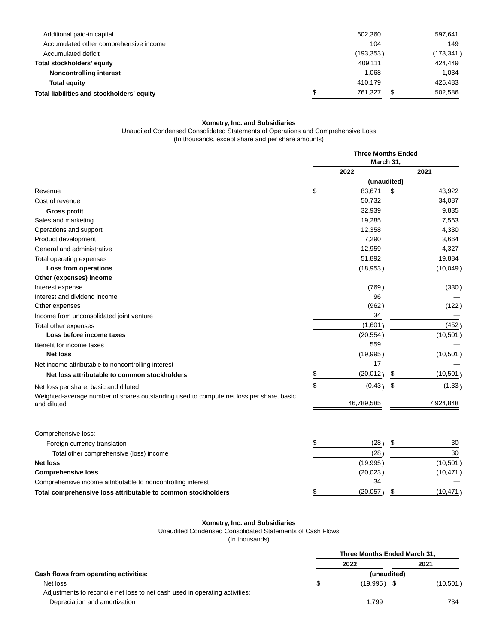| Additional paid-in capital                 | 602.360   | 597.641    |
|--------------------------------------------|-----------|------------|
| Accumulated other comprehensive income     | 104       | 149        |
| Accumulated deficit                        | (193,353) | (173, 341) |
| Total stockholders' equity                 | 409.111   | 424.449    |
| Noncontrolling interest                    | 1,068     | 1,034      |
| <b>Total equity</b>                        | 410.179   | 425,483    |
| Total liabilities and stockholders' equity | 761.327   | 502,586    |

#### **Xometry, Inc. and Subsidiaries**

Unaudited Condensed Consolidated Statements of Operations and Comprehensive Loss (In thousands, except share and per share amounts)

**Three Months Ended March 31, 2022 2021 (unaudited)** Revenue \$ 83,671 \$ 43,922 Cost of revenue 34,087 **Gross profit** 32,939 9,835 Sales and marketing 19,285 7,563 Operations and support 4,330 Product development 3,664 3,664 General and administrative 4,327 and 50 and 50 and 50 and 50 and 50 and 50 and 50 and 50 and 50 and 50 and 50 and 50 and 50 and 50 and 50 and 50 and 50 and 50 and 50 and 50 and 50 and 50 and 50 and 50 and 50 and 50 and 50 Total operating expenses 19,884 **Loss from operations** (18,953 ) (10,049 ) **Other (expenses) income** Interest expense (330) (330 ) **Interest and dividend income 60 and 100 mm**  $\overline{96}$ Other expenses (962 ) (122 ) Income from unconsolidated joint venture 34 — 34 — 34 — 34 — 34 — 34 — 35 Metal was distinguished in the state of the state of the state of the state of the state of the state of the state of the state of the state of the Total other expenses (1,601) (452) **Loss before income taxes** (10,501 ) (10,501 ) Benefit for income taxes 559 **Net loss** (19,995 ) (10,501 ) Net income attributable to noncontrolling interest 17 and 17  $17$ **Net loss attributable to common stockholders**  $\frac{\$}{20,012}$   $\frac{\$}{20,012}$  (10,501) Net loss per share, basic and diluted the state of the state of the state of the state of the state of the state of the state of the state of the state of the state of the state of the state of the state of the state of th Weighted-average number of shares outstanding used to compute net loss per share, basic and diluted and diluted and the set of the set of the set of the set of the set of the set of the set of the set of the set of the set of the set of the set of the set of the set of the set of the set of the set of the set Comprehensive loss: Foreign currency translation \$ (28 ) \$ 30

| oronger carrottery translation                               |          | ---       |
|--------------------------------------------------------------|----------|-----------|
| Total other comprehensive (loss) income                      | (28)     | 30        |
| Net loss                                                     | (19,995) | (10, 501) |
| <b>Comprehensive loss</b>                                    | (20,023) | (10, 471) |
| Comprehensive income attributable to noncontrolling interest | 34       |           |
| Total comprehensive loss attributable to common stockholders | (20,057) | (10,471)  |

#### **Xometry, Inc. and Subsidiaries**

Unaudited Condensed Consolidated Statements of Cash Flows

(In thousands)

|                                                                             |             | Three Months Ended March 31, |           |  |
|-----------------------------------------------------------------------------|-------------|------------------------------|-----------|--|
|                                                                             |             | 2022                         | 2021      |  |
| Cash flows from operating activities:                                       | (unaudited) |                              |           |  |
| Net loss                                                                    | S           | $(19.995)$ \$                | (10, 501) |  |
| Adjustments to reconcile net loss to net cash used in operating activities: |             |                              |           |  |
| Depreciation and amortization                                               |             | 1.799                        | 734       |  |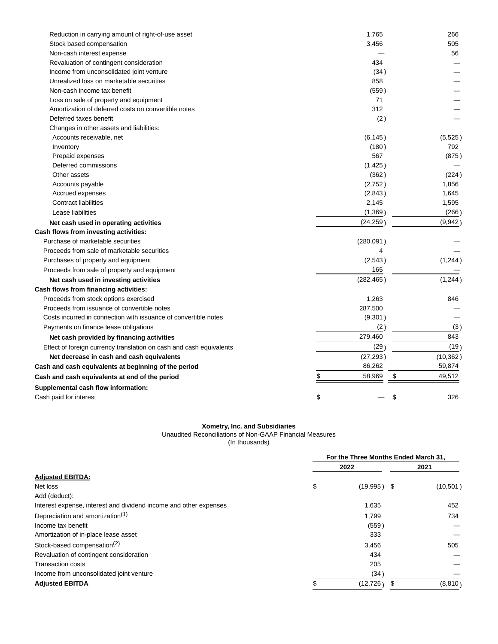| Reduction in carrying amount of right-of-use asset                  | 1,765      | 266          |
|---------------------------------------------------------------------|------------|--------------|
| Stock based compensation                                            | 3,456      | 505          |
| Non-cash interest expense                                           |            | 56           |
| Revaluation of contingent consideration                             | 434        |              |
| Income from unconsolidated joint venture                            | (34)       |              |
| Unrealized loss on marketable securities                            | 858        |              |
| Non-cash income tax benefit                                         | (559)      |              |
| Loss on sale of property and equipment                              | 71         |              |
| Amortization of deferred costs on convertible notes                 | 312        |              |
| Deferred taxes benefit                                              | (2)        |              |
| Changes in other assets and liabilities:                            |            |              |
| Accounts receivable, net                                            | (6, 145)   | (5,525)      |
| Inventory                                                           | (180)      | 792          |
| Prepaid expenses                                                    | 567        | (875)        |
| Deferred commissions                                                | (1, 425)   |              |
| Other assets                                                        | (362)      | (224)        |
| Accounts payable                                                    | (2,752)    | 1,856        |
| Accrued expenses                                                    | (2,843)    | 1,645        |
| <b>Contract liabilities</b>                                         | 2,145      | 1,595        |
| Lease liabilities                                                   | (1, 369)   | (266)        |
| Net cash used in operating activities                               | (24, 259)  | (9,942)      |
| Cash flows from investing activities:                               |            |              |
| Purchase of marketable securities                                   | (280,091)  |              |
| Proceeds from sale of marketable securities                         | 4          |              |
| Purchases of property and equipment                                 | (2,543)    | (1,244)      |
| Proceeds from sale of property and equipment                        | 165        |              |
| Net cash used in investing activities                               | (282, 465) | (1,244)      |
| Cash flows from financing activities:                               |            |              |
| Proceeds from stock options exercised                               | 1,263      | 846          |
| Proceeds from issuance of convertible notes                         | 287,500    |              |
| Costs incurred in connection with issuance of convertible notes     | (9, 301)   |              |
| Payments on finance lease obligations                               | (2)        | (3)          |
| Net cash provided by financing activities                           | 279,460    | 843          |
| Effect of foreign currency translation on cash and cash equivalents | (29        | (19)         |
| Net decrease in cash and cash equivalents                           | (27, 293)  | (10, 362)    |
| Cash and cash equivalents at beginning of the period                | 86,262     | 59,874       |
| Cash and cash equivalents at end of the period                      | 58,969     | \$<br>49,512 |
| Supplemental cash flow information:                                 |            |              |
| Cash paid for interest                                              | \$         | \$<br>326    |
|                                                                     |            |              |

#### **Xometry, Inc. and Subsidiaries**

Unaudited Reconciliations of Non-GAAP Financial Measures

(In thousands)

|                                                                   | For the Three Months Ended March 31, |               |  |           |  |
|-------------------------------------------------------------------|--------------------------------------|---------------|--|-----------|--|
|                                                                   |                                      | 2022          |  | 2021      |  |
| <b>Adjusted EBITDA:</b>                                           |                                      |               |  |           |  |
| Net loss                                                          | \$                                   | $(19,995)$ \$ |  | (10, 501) |  |
| Add (deduct):                                                     |                                      |               |  |           |  |
| Interest expense, interest and dividend income and other expenses |                                      | 1,635         |  | 452       |  |
| Depreciation and amortization <sup>(1)</sup>                      |                                      | 1,799         |  | 734       |  |
| Income tax benefit                                                |                                      | (559)         |  |           |  |
| Amortization of in-place lease asset                              |                                      | 333           |  |           |  |
| Stock-based compensation <sup>(2)</sup>                           |                                      | 3,456         |  | 505       |  |
| Revaluation of contingent consideration                           |                                      | 434           |  |           |  |
| <b>Transaction costs</b>                                          |                                      | 205           |  |           |  |
| Income from unconsolidated joint venture                          |                                      | (34)          |  |           |  |
| <b>Adjusted EBITDA</b>                                            |                                      | (12, 726)     |  | (8,810)   |  |